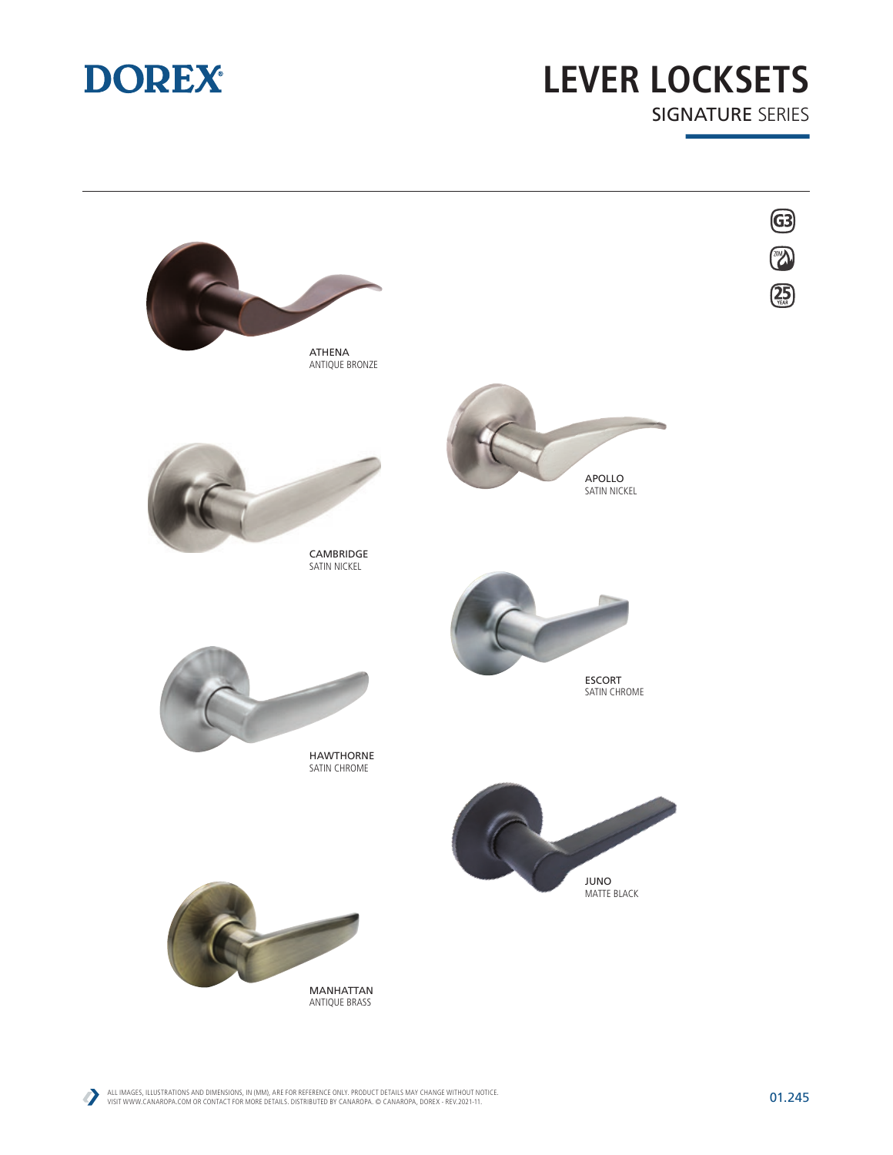

## **LEVER LOCKSETS** SIGNATURE SERIES



D